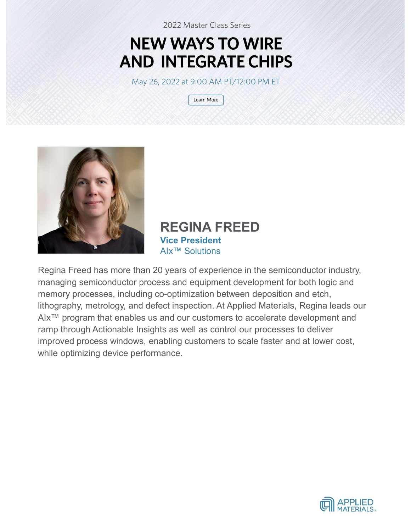## **NEW WAYS TO WIRE AND INTEGRATE CHIPS**

May 26, 2022 at 9:00 AM PT/12:00 PM ET

Learn More



REGINA FREED Vice President AIx™ Solutions

Regina Freed has more than 20 years of experience in the semiconductor industry, managing semiconductor process and equipment development for both logic and memory processes, including co-optimization between deposition and etch, lithography, metrology, and defect inspection. At Applied Materials, Regina leads our AIx™ program that enables us and our customers to accelerate development and ramp through Actionable Insights as well as control our processes to deliver improved process windows, enabling customers to scale faster and at lower cost, while optimizing device performance.

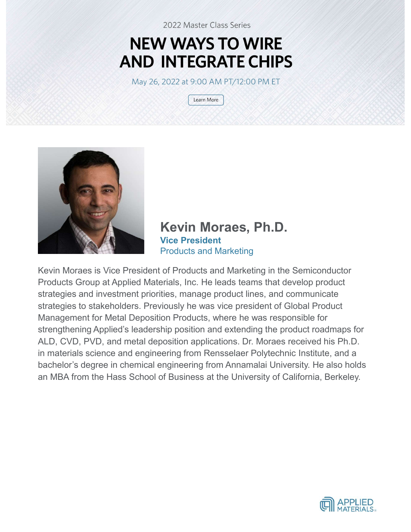# **NEW WAYS TO WIRE**



INTEGRATE CHIPS<br>
2022 at 9:00 AM PT/12:00 PM ET<br>
Usam More<br>
(Learn More)<br>
Kevin Moraes, Ph.D.<br>
Vice President<br>
Products and Marketing<br>
of Products and Marketing in the Semiconductor Vice President

2022 at 9:00 AM PT/12:00 PM ET<br>

Learn More<br>

Learn More<br> **Kevin Moraes, Ph.D.**<br>

Vice President<br>
Products and Marketing<br>

of Products and Marketing in the Semiconductor<br>
Trials, Inc. He leads teams that develop product<br> Kevin Moraes is Vice President of Products and Marketing in the Semiconductor Products Group at Applied Materials, Inc. He leads teams that develop product strategies and investment priorities, manage product lines, and communicate strategies to stakeholders. Previously he was vice president of Global Product Management for Metal Deposition Products, where he was responsible for Strengthening Meridian Morrison, Ph.D.<br>Streepersident Products and Marketing<br>Theoducts and Marketing and Marketing in the Semiconductor<br>Products Group at Applied Materials, Inc. He leads teams that develop product<br>strategi ALD, CVD, PVD, and metal deposition applications. Dr. Moraes received his Ph.D. in materials science and engineering from Rensselaer Polytechnic Institute, and a bachelor's degree in chemical engineering from Annamalai University. He also holds an MBA from the Hass School of Business at the University of California, Berkeley.

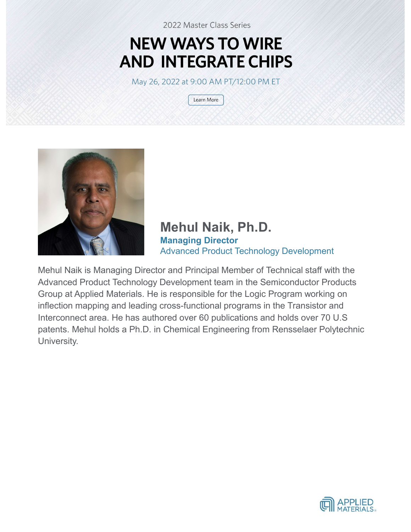# **NEW WAYS TO WIRE**



**INTEGRATE CHIPS**<br>
2022 at 9:00 AM PT/12:00 PM ET<br>
Usam More<br>
Usam More<br> **Mehul Naik, Ph.D.**<br>
Managing Director<br>
Advanced Product Technology Development<br>
or and Principal Member of Technical staff with the Managing Director 2022 at 9:00 AM PT/12:00 PM ET<br>
(<del>Learn More )</del><br> **Mehul Naik, Ph.D.**<br> **Managing Director**<br>
Advanced Product Technology Development<br>
brevelopment team in the Semiconductor Products<br>
is responsible for the Loric Program work

Mehul Naik is Managing Director and Principal Member of Technical staff with the Advanced Product Technology Development team in the Semiconductor Products Group at Applied Materials. He is responsible for the Logic Program working on inflection mapping and leading cross-functional programs in the Transistor and Interconnect area. He has authored over 60 publications and holds over 70 U.S patents. Mehul holds a Ph.D. in Chemical Engineering from Rensselaer Polytechnic University.

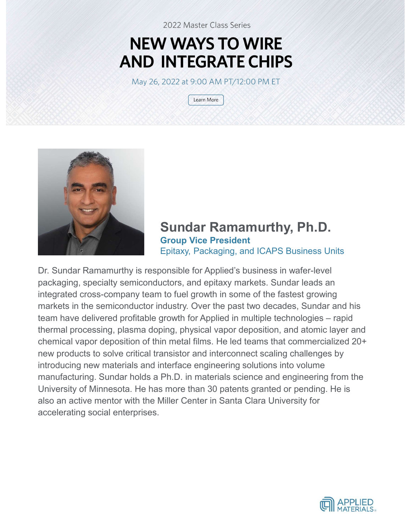# **NEW WAYS TO WIRE**



# **INTEGRATE CHIPS**<br>
2022 at 9:00 AM PT/12:00 PM ET<br>
<u>Usam More</u><br> **Sundar Ramamurthy, Ph.D.**<br>
Group Vice President<br>
Epitaxy, Packaging, and ICAPS Business Units<br>
oonsible for Applied's business in wafer-level Group Vice President Epitaxy, Packaging, and ICAPS Business Units

Sundar Ramamurthy, Ph.D.<br>
Sundar Ramamurthy, Ph.D.<br>
Dr. Sundar Ramamurthy is responsible for Applied's business in wafer-level<br>
packaging, and CAPS Business Units<br>
integrated cross-company team to fuel growth in some of th packaging, specialty semiconductors, and epitaxy markets. Sundar leads an integrated cross-company team to fuel growth in some of the fastest growing markets in the semiconductor industry. Over the past two decades, Sundar and his **Sundar Ramamurthy, Ph.D.**<br> **Sundar Ramamurthy, Ph.D.**<br> **Stroup Vice President**<br>
Epitaxy, Packaging, and ICAPS Business Units<br>
Dr. Sundar Ramamurthy is responsible for Applied's business in wafer-level<br>
packaging, specialt thermal processing, plasma doping, physical vapor deposition, and atomic layer and chemical vapor deposition of thin metal films. He led teams that commercialized 20+ new products to solve critical transistor and interconnect scaling challenges by introducing new materials and interface engineering solutions into volume manufacturing. Sundar holds a Ph.D. in materials science and engineering from the University of Minnesota. He has more than 30 patents granted or pending. He is also an active mentor with the Miller Center in Santa Clara University for accelerating social enterprises.

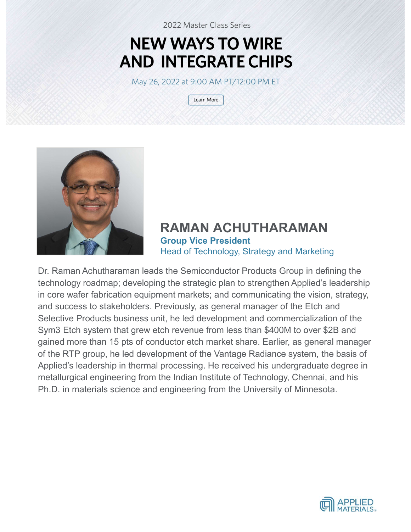## **NEW WAYS TO WIRE AND INTEGRATE CHIPS**

May 26, 2022 at 9:00 AM PT/12:00 PM ET

Learn More



RAMAN ACHUTHARAMAN Group Vice President Head of Technology, Strategy and Marketing

Dr. Raman Achutharaman leads the Semiconductor Products Group in defining the **Example 19 A RAMAN ACHUTHARAMAN**<br> **RAMAN ACHUTHARAMAN**<br> **Dr. Raman Achutharaman leads the Semiconductor Products Group in defining the<br>
technology roadmap; developing the strategic plan to strengthen Applied's leadership<br>** in core wafer fabrication equipment markets; and communicating the vision, strategy, and success to stakeholders. Previously, as general manager of the Etch and Selective Products business unit, he led development and commercialization of the Sym3 Etch system that grew etch revenue from less than \$400M to over \$2B and gained more than 15 pts of conductor etch market share. Earlier, as general manager of the RTP group, he led development of the Vantage Radiance system, the basis of **Example 19 The Manuary Conduct Conduct Control Control Control Control Control Control Control Control Control Control Control Control Control Control Control Control Control Control Control Control Control Control Contro** metallurgical engineering from the Indian Institute of Technology, Chennai, and his Ph.D. in materials science and engineering from the University of Minnesota.